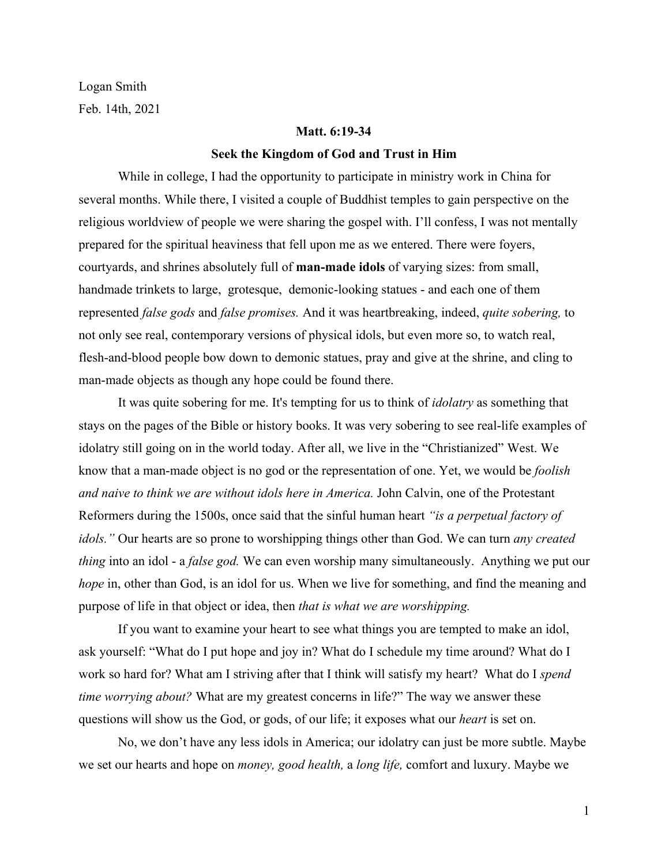Logan Smith Feb. 14th, 2021

#### **Matt. 6:19-34**

#### **Seek the Kingdom of God and Trust in Him**

While in college, I had the opportunity to participate in ministry work in China for several months. While there, I visited a couple of Buddhist temples to gain perspective on the religious worldview of people we were sharing the gospel with. I'll confess, I was not mentally prepared for the spiritual heaviness that fell upon me as we entered. There were foyers, courtyards, and shrines absolutely full of **man-made idols** of varying sizes: from small, handmade trinkets to large, grotesque, demonic-looking statues - and each one of them represented *false gods* and *false promises.* And it was heartbreaking, indeed, *quite sobering,* to not only see real, contemporary versions of physical idols, but even more so, to watch real, flesh-and-blood people bow down to demonic statues, pray and give at the shrine, and cling to man-made objects as though any hope could be found there.

It was quite sobering for me. It's tempting for us to think of *idolatry* as something that stays on the pages of the Bible or history books. It was very sobering to see real-life examples of idolatry still going on in the world today. After all, we live in the "Christianized" West. We know that a man-made object is no god or the representation of one. Yet, we would be *foolish and naive to think we are without idols here in America.* John Calvin, one of the Protestant Reformers during the 1500s, once said that the sinful human heart *"is a perpetual factory of idols."* Our hearts are so prone to worshipping things other than God. We can turn *any created thing* into an idol - a *false god.* We can even worship many simultaneously. Anything we put our *hope* in, other than God, is an idol for us. When we live for something, and find the meaning and purpose of life in that object or idea, then *that is what we are worshipping.*

If you want to examine your heart to see what things you are tempted to make an idol, ask yourself: "What do I put hope and joy in? What do I schedule my time around? What do I work so hard for? What am I striving after that I think will satisfy my heart? What do I *spend time worrying about?* What are my greatest concerns in life?" The way we answer these questions will show us the God, or gods, of our life; it exposes what our *heart* is set on.

No, we don't have any less idols in America; our idolatry can just be more subtle. Maybe we set our hearts and hope on *money, good health,* a *long life,* comfort and luxury. Maybe we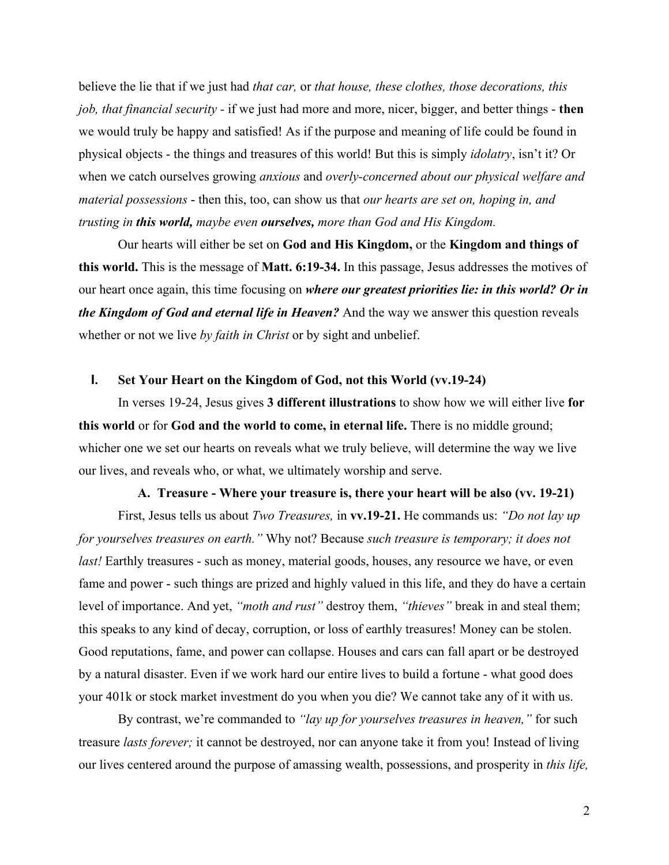believe the lie that if we just had *that car,* or *that house, these clothes, those decorations, this job, that financial security -* if we just had more and more, nicer, bigger, and better things - **then** we would truly be happy and satisfied! As if the purpose and meaning of life could be found in physical objects - the things and treasures of this world! But this is simply *idolatry*, isn't it? Or when we catch ourselves growing *anxious* and *overly-concerned about our physical welfare and material possessions* - then this, too, can show us that *our hearts are set on, hoping in, and trusting in this world, maybe even ourselves, more than God and His Kingdom.*

Our hearts will either be set on **God and His Kingdom,** or the **Kingdom and things of this world.** This is the message of **Matt. 6:19-34.** In this passage, Jesus addresses the motives of our heart once again, this time focusing on *where our greatest priorities lie: in this world? Or in the Kingdom of God and eternal life in Heaven?* And the way we answer this question reveals whether or not we live *by faith in Christ* or by sight and unbelief.

#### **I. Set Your Heart on the Kingdom of God, not this World (vv.19-24)**

In verses 19-24, Jesus gives **3 different illustrations** to show how we will either live **for this world** or for **God and the world to come, in eternal life.** There is no middle ground; whicher one we set our hearts on reveals what we truly believe, will determine the way we live our lives, and reveals who, or what, we ultimately worship and serve.

#### **A. Treasure - Where your treasure is, there your heart will be also (vv. 19-21)**

First, Jesus tells us about *Two Treasures,* in **vv.19-21.** He commands us: *"Do not lay up for yourselves treasures on earth."* Why not? Because *such treasure is temporary; it does not last!* Earthly treasures - such as money, material goods, houses, any resource we have, or even fame and power - such things are prized and highly valued in this life, and they do have a certain level of importance. And yet, *"moth and rust"* destroy them, *"thieves"* break in and steal them; this speaks to any kind of decay, corruption, or loss of earthly treasures! Money can be stolen. Good reputations, fame, and power can collapse. Houses and cars can fall apart or be destroyed by a natural disaster. Even if we work hard our entire lives to build a fortune - what good does your 401k or stock market investment do you when you die? We cannot take any of it with us.

By contrast, we're commanded to *"lay up for yourselves treasures in heaven,"* for such treasure *lasts forever;* it cannot be destroyed, nor can anyone take it from you! Instead of living our lives centered around the purpose of amassing wealth, possessions, and prosperity in *this life,*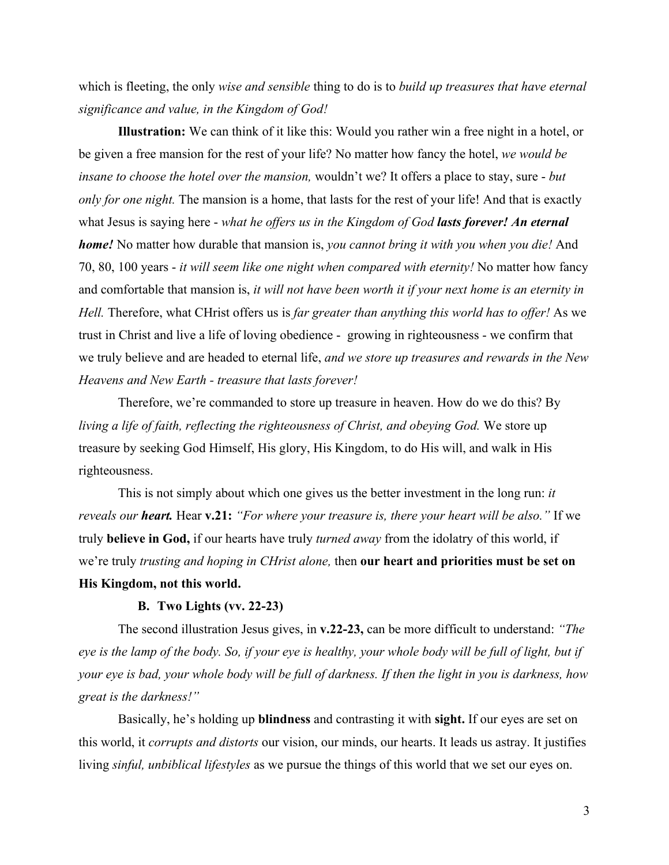which is fleeting, the only *wise and sensible* thing to do is to *build up treasures that have eternal significance and value, in the Kingdom of God!*

**Illustration:** We can think of it like this: Would you rather win a free night in a hotel, or be given a free mansion for the rest of your life? No matter how fancy the hotel, *we would be insane to choose the hotel over the mansion,* wouldn't we? It offers a place to stay, sure - *but only for one night.* The mansion is a home, that lasts for the rest of your life! And that is exactly what Jesus is saying here - *what he offers us in the Kingdom of God lasts forever! An eternal home!* No matter how durable that mansion is, *you cannot bring it with you when you die!* And 70, 80, 100 years - *it will seem like one night when compared with eternity!* No matter how fancy and comfortable that mansion is, *it will not have been worth it if your next home is an eternity in Hell.* Therefore, what CHrist offers us is *far greater than anything this world has to offer!* As we trust in Christ and live a life of loving obedience - growing in righteousness - we confirm that we truly believe and are headed to eternal life, *and we store up treasures and rewards in the New Heavens and New Earth - treasure that lasts forever!*

Therefore, we're commanded to store up treasure in heaven. How do we do this? By *living a life of faith, reflecting the righteousness of Christ, and obeying God.* We store up treasure by seeking God Himself, His glory, His Kingdom, to do His will, and walk in His righteousness.

This is not simply about which one gives us the better investment in the long run: *it reveals our heart.* Hear **v.21:** *"For where your treasure is, there your heart will be also."* If we truly **believe in God,** if our hearts have truly *turned away* from the idolatry of this world, if we're truly *trusting and hoping in CHrist alone,* then **our heart and priorities must be set on His Kingdom, not this world.**

### **B. Two Lights (vv. 22-23)**

The second illustration Jesus gives, in **v.22-23,** can be more difficult to understand: *"The eye is the lamp of the body. So, if your eye is healthy, your whole body will be full of light, but if your eye is bad, your whole body will be full of darkness. If then the light in you is darkness, how great is the darkness!"*

Basically, he's holding up **blindness** and contrasting it with **sight.** If our eyes are set on this world, it *corrupts and distorts* our vision, our minds, our hearts. It leads us astray. It justifies living *sinful, unbiblical lifestyles* as we pursue the things of this world that we set our eyes on.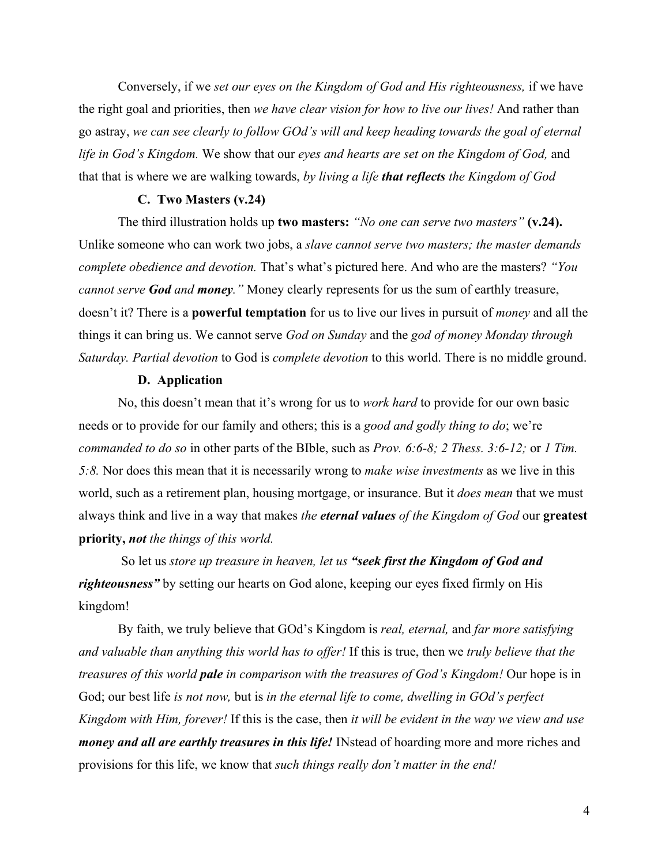Conversely, if we *set our eyes on the Kingdom of God and His righteousness,* if we have the right goal and priorities, then *we have clear vision for how to live our lives!* And rather than go astray, *we can see clearly to follow GOd's will and keep heading towards the goal of eternal life in God's Kingdom.* We show that our *eyes and hearts are set on the Kingdom of God,* and that that is where we are walking towards, *by living a life that reflects the Kingdom of God*

### **C. Two Masters (v.24)**

The third illustration holds up **two masters:** *"No one can serve two masters"* **(v.24).** Unlike someone who can work two jobs, a *slave cannot serve two masters; the master demands complete obedience and devotion.* That's what's pictured here. And who are the masters? *"You cannot serve God and money."* Money clearly represents for us the sum of earthly treasure, doesn't it? There is a **powerful temptation** for us to live our lives in pursuit of *money* and all the things it can bring us. We cannot serve *God on Sunday* and the *god of money Monday through Saturday. Partial devotion* to God is *complete devotion* to this world. There is no middle ground.

## **D. Application**

No, this doesn't mean that it's wrong for us to *work hard* to provide for our own basic needs or to provide for our family and others; this is a *good and godly thing to do*; we're *commanded to do so* in other parts of the BIble, such as *Prov. 6:6-8; 2 Thess. 3:6-12;* or *1 Tim. 5:8.* Nor does this mean that it is necessarily wrong to *make wise investments* as we live in this world, such as a retirement plan, housing mortgage, or insurance. But it *does mean* that we must always think and live in a way that makes *the eternal values of the Kingdom of God* our **greatest priority,** *not the things of this world.*

 So let us *store up treasure in heaven, let us "seek first the Kingdom of God and righteousness"* by setting our hearts on God alone, keeping our eyes fixed firmly on His kingdom!

By faith, we truly believe that GOd's Kingdom is *real, eternal,* and *far more satisfying and valuable than anything this world has to offer!* If this is true, then we *truly believe that the treasures of this world pale in comparison with the treasures of God's Kingdom!* Our hope is in God; our best life *is not now,* but is *in the eternal life to come, dwelling in GOd's perfect Kingdom with Him, forever!* If this is the case, then *it will be evident in the way we view and use money and all are earthly treasures in this life!* INstead of hoarding more and more riches and provisions for this life, we know that *such things really don't matter in the end!*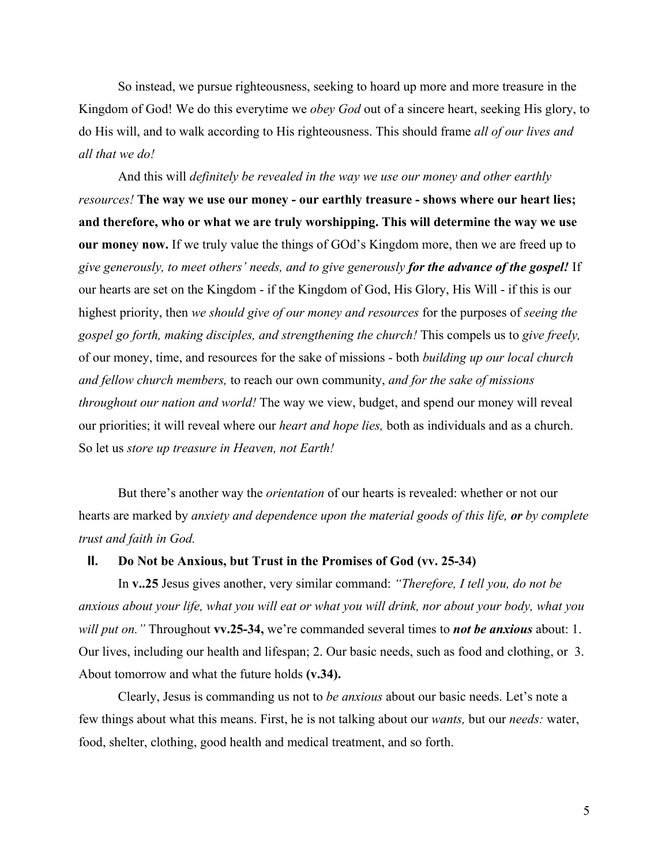So instead, we pursue righteousness, seeking to hoard up more and more treasure in the Kingdom of God! We do this everytime we *obey God* out of a sincere heart, seeking His glory, to do His will, and to walk according to His righteousness. This should frame *all of our lives and all that we do!*

And this will *definitely be revealed in the way we use our money and other earthly resources!* **The way we use our money - our earthly treasure - shows where our heart lies; and therefore, who or what we are truly worshipping. This will determine the way we use our money now.** If we truly value the things of GOd's Kingdom more, then we are freed up to *give generously, to meet others' needs, and to give generously for the advance of the gospel!* If our hearts are set on the Kingdom - if the Kingdom of God, His Glory, His Will - if this is our highest priority, then *we should give of our money and resources* for the purposes of *seeing the gospel go forth, making disciples, and strengthening the church!* This compels us to *give freely,* of our money, time, and resources for the sake of missions - both *building up our local church and fellow church members,* to reach our own community, *and for the sake of missions throughout our nation and world!* The way we view, budget, and spend our money will reveal our priorities; it will reveal where our *heart and hope lies,* both as individuals and as a church. So let us *store up treasure in Heaven, not Earth!*

But there's another way the *orientation* of our hearts is revealed: whether or not our hearts are marked by *anxiety and dependence upon the material goods of this life, or by complete trust and faith in God.*

## **II. Do Not be Anxious, but Trust in the Promises of God (vv. 25-34)**

In **v..25** Jesus gives another, very similar command: *"Therefore, I tell you, do not be anxious about your life, what you will eat or what you will drink, nor about your body, what you will put on."* Throughout **vv.25-34,** we're commanded several times to *not be anxious* about: 1. Our lives, including our health and lifespan; 2. Our basic needs, such as food and clothing, or 3. About tomorrow and what the future holds **(v.34).**

Clearly, Jesus is commanding us not to *be anxious* about our basic needs. Let's note a few things about what this means. First, he is not talking about our *wants,* but our *needs:* water, food, shelter, clothing, good health and medical treatment, and so forth.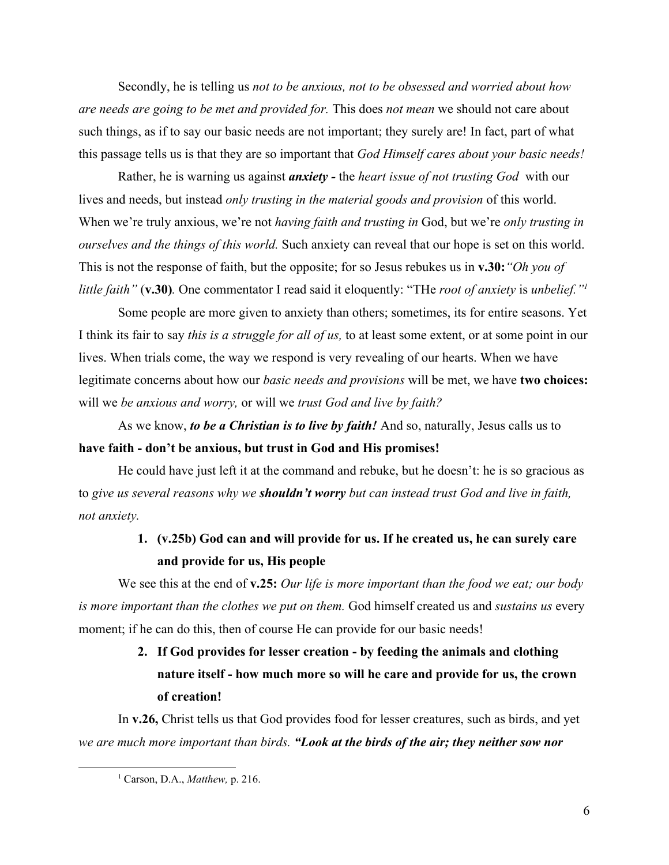Secondly, he is telling us *not to be anxious, not to be obsessed and worried about how are needs are going to be met and provided for.* This does *not mean* we should not care about such things, as if to say our basic needs are not important; they surely are! In fact, part of what this passage tells us is that they are so important that *God Himself cares about your basic needs!*

Rather, he is warning us against *anxiety -* the *heart issue of not trusting God* with our lives and needs, but instead *only trusting in the material goods and provision* of this world. When we're truly anxious, we're not *having faith and trusting in* God, but we're *only trusting in ourselves and the things of this world.* Such anxiety can reveal that our hope is set on this world. This is not the response of faith, but the opposite; for so Jesus rebukes us in **v.30:***"Oh you of little faith"* (**v.30)***.* One commentator I read said it eloquently: "THe *root of anxiety* is *unbelief."<sup>1</sup>*

Some people are more given to anxiety than others; sometimes, its for entire seasons. Yet I think its fair to say *this is a struggle for all of us,* to at least some extent, or at some point in our lives. When trials come, the way we respond is very revealing of our hearts. When we have legitimate concerns about how our *basic needs and provisions* will be met, we have **two choices:** will we *be anxious and worry,* or will we *trust God and live by faith?*

As we know, *to be a Christian is to live by faith!* And so, naturally, Jesus calls us to **have faith - don't be anxious, but trust in God and His promises!**

He could have just left it at the command and rebuke, but he doesn't: he is so gracious as to *give us several reasons why we shouldn't worry but can instead trust God and live in faith, not anxiety.*

# **1. (v.25b) God can and will provide for us. If he created us, he can surely care and provide for us, His people**

We see this at the end of **v.25:** *Our life is more important than the food we eat; our body is more important than the clothes we put on them.* God himself created us and *sustains us* every moment; if he can do this, then of course He can provide for our basic needs!

# **2. If God provides for lesser creation - by feeding the animals and clothing nature itself - how much more so will he care and provide for us, the crown of creation!**

In **v.26,** Christ tells us that God provides food for lesser creatures, such as birds, and yet *we are much more important than birds. "Look at the birds of the air; they neither sow nor*

<sup>1</sup> Carson, D.A., *Matthew,* p. 216.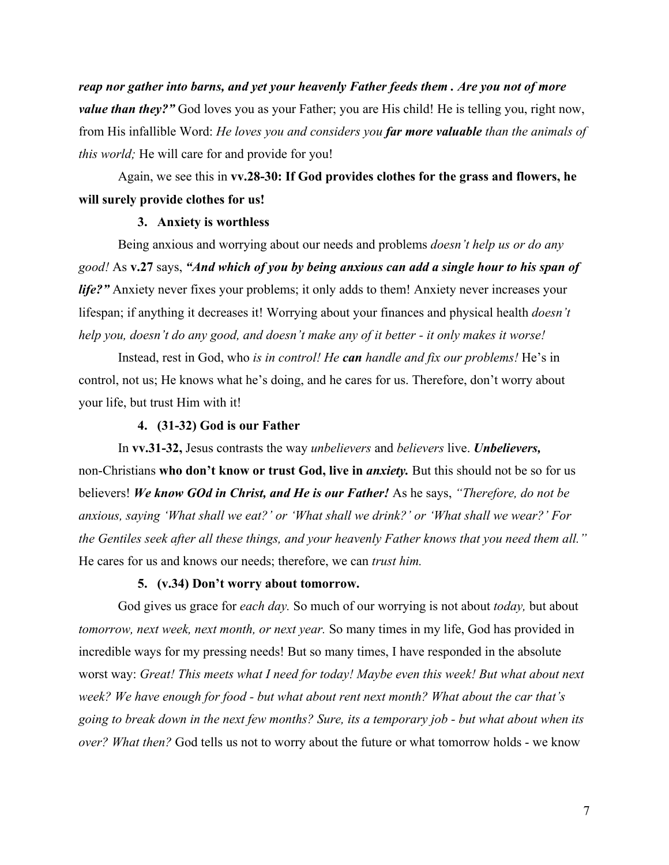*reap nor gather into barns, and yet your heavenly Father feeds them . Are you not of more value than they?"* God loves you as your Father; you are His child! He is telling you, right now, from His infallible Word: *He loves you and considers you far more valuable than the animals of this world;* He will care for and provide for you!

Again, we see this in **vv.28-30: If God provides clothes for the grass and flowers, he will surely provide clothes for us!**

## **3. Anxiety is worthless**

Being anxious and worrying about our needs and problems *doesn't help us or do any good!* As **v.27** says, *"And which of you by being anxious can add a single hour to his span of life?"* Anxiety never fixes your problems; it only adds to them! Anxiety never increases your lifespan; if anything it decreases it! Worrying about your finances and physical health *doesn't help you, doesn't do any good, and doesn't make any of it better - it only makes it worse!*

Instead, rest in God, who *is in control! He can handle and fix our problems!* He's in control, not us; He knows what he's doing, and he cares for us. Therefore, don't worry about your life, but trust Him with it!

#### **4. (31-32) God is our Father**

In **vv.31-32,** Jesus contrasts the way *unbelievers* and *believers* live. *Unbelievers,* non-Christians **who don't know or trust God, live in** *anxiety.* But this should not be so for us believers! *We know GOd in Christ, and He is our Father!* As he says, *"Therefore, do not be anxious, saying 'What shall we eat?' or 'What shall we drink?' or 'What shall we wear?' For the Gentiles seek after all these things, and your heavenly Father knows that you need them all."* He cares for us and knows our needs; therefore, we can *trust him.*

## **5. (v.34) Don't worry about tomorrow.**

God gives us grace for *each day.* So much of our worrying is not about *today,* but about *tomorrow, next week, next month, or next year.* So many times in my life, God has provided in incredible ways for my pressing needs! But so many times, I have responded in the absolute worst way: *Great! This meets what I need for today! Maybe even this week! But what about next week? We have enough for food - but what about rent next month? What about the car that's going to break down in the next few months? Sure, its a temporary job - but what about when its over? What then?* God tells us not to worry about the future or what tomorrow holds - we know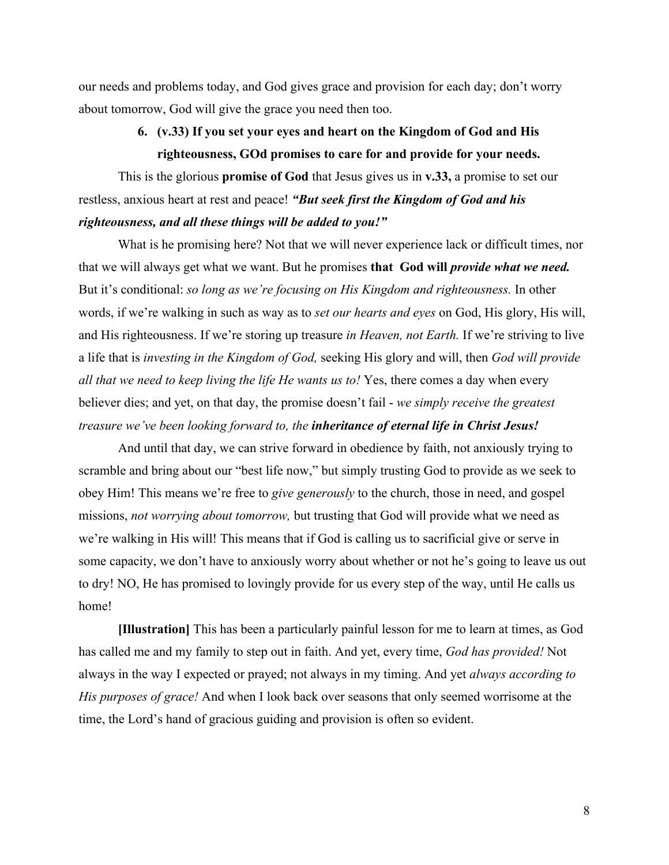our needs and problems today, and God gives grace and provision for each day; don't worry about tomorrow, God will give the grace you need then too.

## **6. (v.33) If you set your eyes and heart on the Kingdom of God and His righteousness, GOd promises to care for and provide for your needs.**

This is the glorious **promise of God** that Jesus gives us in **v.33,** a promise to set our restless, anxious heart at rest and peace! *"But seek first the Kingdom of God and his righteousness, and all these things will be added to you!"*

What is he promising here? Not that we will never experience lack or difficult times, nor that we will always get what we want. But he promises **that God will** *provide what we need.* But it's conditional: *so long as we're focusing on His Kingdom and righteousness.* In other words, if we're walking in such as way as to *set our hearts and eyes* on God, His glory, His will, and His righteousness. If we're storing up treasure *in Heaven, not Earth.* If we're striving to live a life that is *investing in the Kingdom of God,* seeking His glory and will, then *God will provide all that we need to keep living the life He wants us to!* Yes, there comes a day when every believer dies; and yet, on that day, the promise doesn't fail - *we simply receive the greatest treasure we've been looking forward to, the inheritance of eternal life in Christ Jesus!*

And until that day, we can strive forward in obedience by faith, not anxiously trying to scramble and bring about our "best life now," but simply trusting God to provide as we seek to obey Him! This means we're free to *give generously* to the church, those in need, and gospel missions, *not worrying about tomorrow,* but trusting that God will provide what we need as we're walking in His will! This means that if God is calling us to sacrificial give or serve in some capacity, we don't have to anxiously worry about whether or not he's going to leave us out to dry! NO, He has promised to lovingly provide for us every step of the way, until He calls us home!

**[Illustration]** This has been a particularly painful lesson for me to learn at times, as God has called me and my family to step out in faith. And yet, every time, *God has provided!* Not always in the way I expected or prayed; not always in my timing. And yet *always according to His purposes of grace!* And when I look back over seasons that only seemed worrisome at the time, the Lord's hand of gracious guiding and provision is often so evident.